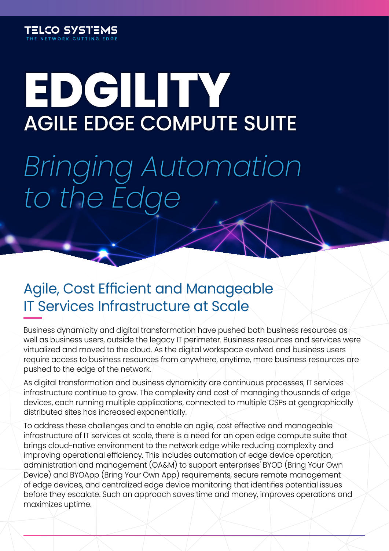

# **EDGILITY** AGILE EDGE COMPUTE SUITE

*Bringing Automation to the Edge*

### Agile, Cost Efficient and Manageable IT Services Infrastructure at Scale

Business dynamicity and digital transformation have pushed both business resources as well as business users, outside the legacy IT perimeter. Business resources and services were virtualized and moved to the cloud. As the digital workspace evolved and business users require access to business resources from anywhere, anytime, more business resources are pushed to the edge of the network.

As digital transformation and business dynamicity are continuous processes, IT services infrastructure continue to grow. The complexity and cost of managing thousands of edge devices, each running multiple applications, connected to multiple CSPs at geographically distributed sites has increased exponentially.

To address these challenges and to enable an agile, cost effective and manageable infrastructure of IT services at scale, there is a need for an open edge compute suite that brings cloud-native environment to the network edge while reducing complexity and improving operational efficiency. This includes automation of edge device operation, administration and management (OA&M) to support enterprises' BYOD (Bring Your Own Device) and BYOApp (Bring Your Own App) requirements, secure remote management of edge devices, and centralized edge device monitoring that identifies potential issues before they escalate. Such an approach saves time and money, improves operations and maximizes uptime.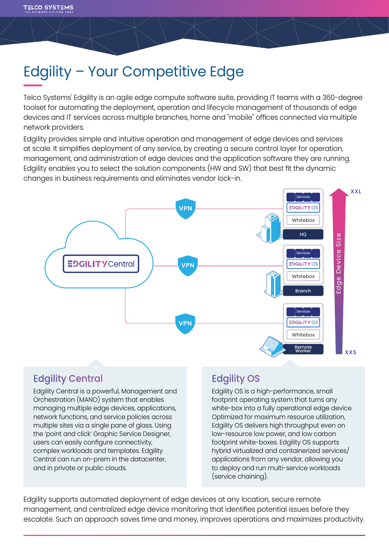# Edgility – Your Competitive Edge

Telco Systems' Edgility is an agile edge compute software suite, providing IT teams with a 360-degree toolset for automating the deployment, operation and lifecycle management of thousands of edge devices and IT services across multiple branches, home and "mobile" offices connected via multiple network providers.

Edgility provides simple and intuitive operation and management of edge devices and services at scale. It simplifies deployment of any service, by creating a secure control layer for operation, management, and administration of edge devices and the application software they are running. Edgility enables you to select the solution components (HW and SW) that best fit the dynamic changes in business requirements and eliminates vendor lock-in.



### Edgility Central

Edgility Central is a powerful, Management and Orchestration (MANO) system that enables managing multiple edge devices, applications, network functions, and service policies across multiple sites via a single pane of glass. Using the 'point and click' Graphic Service Designer, users can easily configure connectivity, complex workloads and templates. Edgility Central can run on-prem in the datacenter, and in private or public clouds.

### Edgility OS

Edgility OS is a high-performance, small footprint operating system that turns any white-box into a fully operational edge device. Optimized for maximum resource utilization, Edgility OS delivers high throughput even on low-resource low power, and low carbon footprint white-boxes. Edgility OS supports hybrid virtualized and containerized services/ applications from any vendor, allowing you to deploy and run multi-service workloads (service chaining).

Edgility supports automated deployment of edge devices at any location, secure remote management, and centralized edge device monitoring that identifies potential issues before they escalate. Such an approach saves time and money, improves operations and maximizes productivity.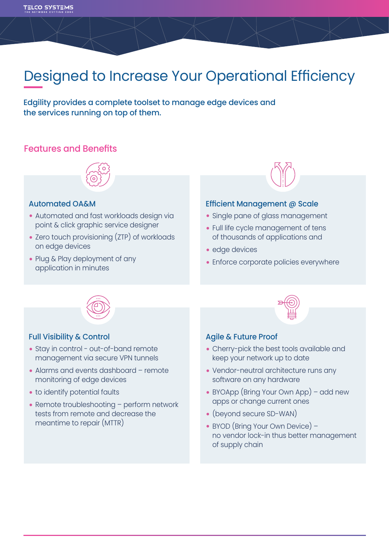## Designed to Increase Your Operational Efficiency

Edgility provides a complete toolset to manage edge devices and the services running on top of them.

#### Features and Benefits



#### Automated OA&M

- **•** Automated and fast workloads design via point & click graphic service designer
- **•** Zero touch provisioning (ZTP) of workloads on edge devices
- **•** Plug & Play deployment of any application in minutes



#### Efficient Management @ Scale

- **•** Single pane of glass management
- **•** Full life cycle management of tens of thousands of applications and
- **•** edge devices
- **•** Enforce corporate policies everywhere



#### Full Visibility & Control

- **•** Stay in control out-of-band remote management via secure VPN tunnels
- **•** Alarms and events dashboard remote monitoring of edge devices
- **•** to identify potential faults
- **•** Remote troubleshooting perform network tests from remote and decrease the meantime to repair (MTTR)



#### Agile & Future Proof

- **•** Cherry-pick the best tools available and keep your network up to date
- **•** Vendor-neutral architecture runs any software on any hardware
- **•** BYOApp (Bring Your Own App) add new apps or change current ones
- **•** (beyond secure SD-WAN)
- **•** BYOD (Bring Your Own Device) no vendor lock-in thus better management of supply chain